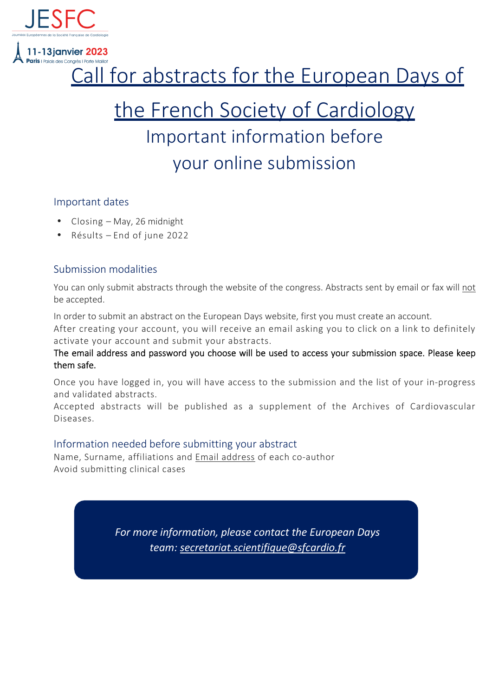

**11-13ianvier 2023** 

# Call for abstracts for the European Days of

# the French Society of Cardiology Important information before your online submission

#### Important dates

- Closing May, 26 midnight
- Résults End of june 2022

# Submission modalities

You can only submit abstracts through the website of the congress. Abstracts sent by email or fax will not be accepted.

In order to submit an abstract on the European Days website, first you must create an account.

After creating your account, you will receive an email asking you to click on a link to definitely activate your account and submit your abstracts.

The email address and password you choose will be used to access your submission space. Please keep them safe.

Once you have logged in, you will have access to the submission and the list of your in-progress and validated abstracts.

Accepted abstracts will be published as a supplement of the Archives of Cardiovascular Diseases.

# Information needed before submitting your abstract

Name, Surname, affiliations and Email address of each co-author Avoid submitting clinical cases

> *For more information, please contact the European Days team: secretariat.scientifique@sfcardio.fr*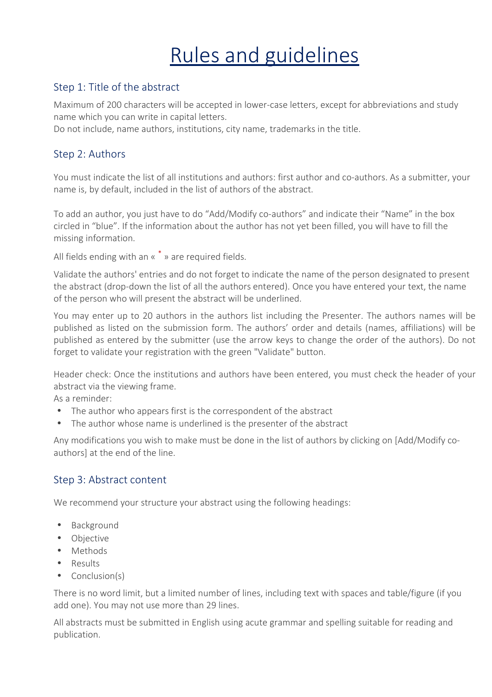# Rules and guidelines

# Step 1: Title of the abstract

Maximum of 200 characters will be accepted in lower-case letters, except for abbreviations and study name which you can write in capital letters.

Do not include, name authors, institutions, city name, trademarks in the title.

# Step 2: Authors

You must indicate the list of all institutions and authors: first author and co-authors. As a submitter, your name is, by default, included in the list of authors of the abstract.

To add an author, you just have to do "Add/Modify co-authors" and indicate their "Name" in the box circled in "blue". If the information about the author has not yet been filled, you will have to fill the missing information.

All fields ending with an « \* » are required fields.

Validate the authors' entries and do not forget to indicate the name of the person designated to present the abstract (drop-down the list of all the authors entered). Once you have entered your text, the name of the person who will present the abstract will be underlined.

You may enter up to 20 authors in the authors list including the Presenter. The authors names will be published as listed on the submission form. The authors' order and details (names, affiliations) will be published as entered by the submitter (use the arrow keys to change the order of the authors). Do not forget to validate your registration with the green "Validate" button.

Header check: Once the institutions and authors have been entered, you must check the header of your abstract via the viewing frame.

As a reminder:

- The author who appears first is the correspondent of the abstract
- The author whose name is underlined is the presenter of the abstract

Any modifications you wish to make must be done in the list of authors by clicking on [Add/Modify coauthors] at the end of the line.

# Step 3: Abstract content

We recommend your structure your abstract using the following headings:

- Background
- Objective
- Methods
- Results
- Conclusion(s)

There is no word limit, but a limited number of lines, including text with spaces and table/figure (if you add one). You may not use more than 29 lines.

All abstracts must be submitted in English using acute grammar and spelling suitable for reading and publication.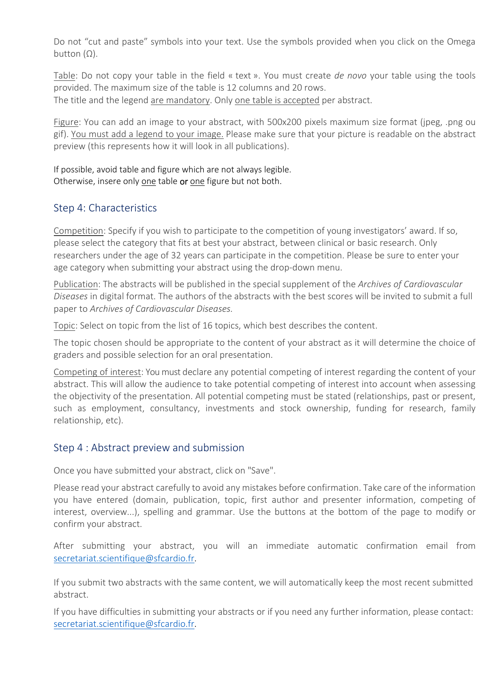Do not "cut and paste" symbols into your text. Use the symbols provided when you click on the Omega button  $(Ω)$ .

Table: Do not copy your table in the field « text ». You must create *de novo* your table using the tools provided. The maximum size of the table is 12 columns and 20 rows. The title and the legend are mandatory. Only one table is accepted per abstract.

Figure: You can add an image to your abstract, with 500x200 pixels maximum size format (jpeg, .png ou gif). You must add a legend to your image. Please make sure that your picture is readable on the abstract preview (this represents how it will look in all publications).

If possible, avoid table and figure which are not always legible. Otherwise, insere only one table or one figure but not both.

#### Step 4: Characteristics

Competition: Specify if you wish to participate to the competition of young investigators' award. If so, please select the category that fits at best your abstract, between clinical or basic research. Only researchers under the age of 32 years can participate in the competition. Please be sure to enter your age category when submitting your abstract using the drop-down menu.

Publication: The abstracts will be published in the special supplement of the *Archives of Cardiovascular Diseases* in digital format. The authors of the abstracts with the best scores will be invited to submit a full paper to *Archives of Cardiovascular Diseases.*

Topic: Select on topic from the list of 16 topics, which best describes the content.

The topic chosen should be appropriate to the content of your abstract as it will determine the choice of graders and possible selection for an oral presentation.

Competing of interest: You must declare any potential competing of interest regarding the content of your abstract. This will allow the audience to take potential competing of interest into account when assessing the objectivity of the presentation. All potential competing must be stated (relationships, past or present, such as employment, consultancy, investments and stock ownership, funding for research, family relationship, etc).

#### Step 4 : Abstract preview and submission

Once you have submitted your abstract, click on "Save".

Please read your abstract carefully to avoid any mistakes before confirmation. Take care of the information you have entered (domain, publication, topic, first author and presenter information, competing of interest, overview...), spelling and grammar. Use the buttons at the bottom of the page to modify or confirm your abstract.

After submitting your abstract, you will an immediate automatic confirmation email from secretariat.scientifique@sfcardio.fr.

If you submit two abstracts with the same content, we will automatically keep the most recent submitted abstract.

If you have difficulties in submitting your abstracts or if you need any further information, please contact: secretariat.scientifique@sfcardio.fr.